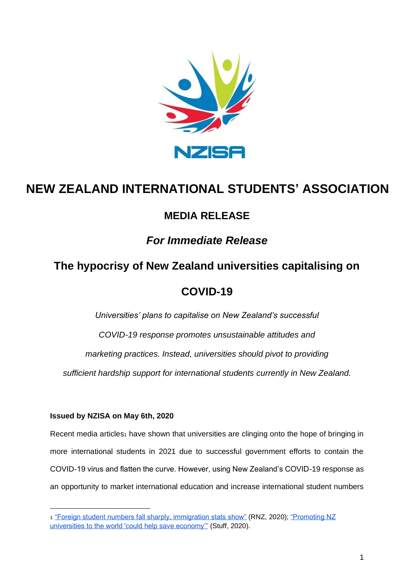

# **NEW ZEALAND INTERNATIONAL STUDENTS' ASSOCIATION**

#### **MEDIA RELEASE**

### *For Immediate Release*

## **The hypocrisy of New Zealand universities capitalising on**

### **COVID-19**

*Universities' plans to capitalise on New Zealand's successful COVID-19 response promotes unsustainable attitudes and marketing practices. Instead, universities should pivot to providing sufficient hardship support for international students currently in New Zealand.*

#### **Issued by NZISA on May 6th, 2020**

Recent media articles<sub>1</sub> have shown that universities are clinging onto the hope of bringing in more international students in 2021 due to successful government efforts to contain the COVID-19 virus and flatten the curve. However, using New Zealand's COVID-19 response as an opportunity to market international education and increase international student numbers

<sup>1</sup> ["Foreign student numbers fall sharply, immigration stats show"](https://www.rnz.co.nz/news/national/415751/foreign-student-numbers-fall-sharply-immigration-stats-show) (RNZ, 2020); ["Promoting NZ](https://www.stuff.co.nz/business/300003035/promoting-nz-universities-to-the-world-could-help-save-economy)  universities to the world 'could help save economy" (Stuff, 2020).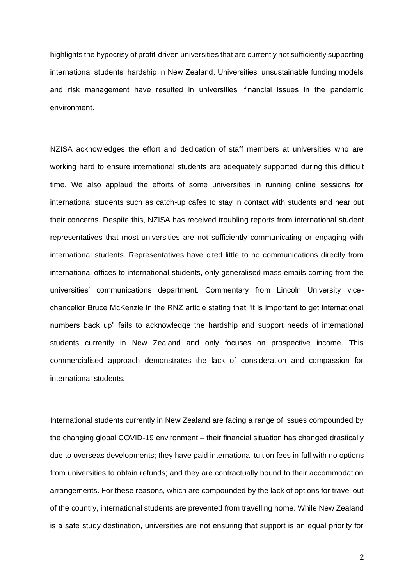highlights the hypocrisy of profit-driven universities that are currently not sufficiently supporting international students' hardship in New Zealand. Universities' unsustainable funding models and risk management have resulted in universities' financial issues in the pandemic environment.

NZISA acknowledges the effort and dedication of staff members at universities who are working hard to ensure international students are adequately supported during this difficult time. We also applaud the efforts of some universities in running online sessions for international students such as catch-up cafes to stay in contact with students and hear out their concerns. Despite this, NZISA has received troubling reports from international student representatives that most universities are not sufficiently communicating or engaging with international students. Representatives have cited little to no communications directly from international offices to international students, only generalised mass emails coming from the universities' communications department. Commentary from Lincoln University vicechancellor Bruce McKenzie in the RNZ article stating that "it is important to get international numbers back up" fails to acknowledge the hardship and support needs of international students currently in New Zealand and only focuses on prospective income. This commercialised approach demonstrates the lack of consideration and compassion for international students.

International students currently in New Zealand are facing a range of issues compounded by the changing global COVID-19 environment – their financial situation has changed drastically due to overseas developments; they have paid international tuition fees in full with no options from universities to obtain refunds; and they are contractually bound to their accommodation arrangements. For these reasons, which are compounded by the lack of options for travel out of the country, international students are prevented from travelling home. While New Zealand is a safe study destination, universities are not ensuring that support is an equal priority for

2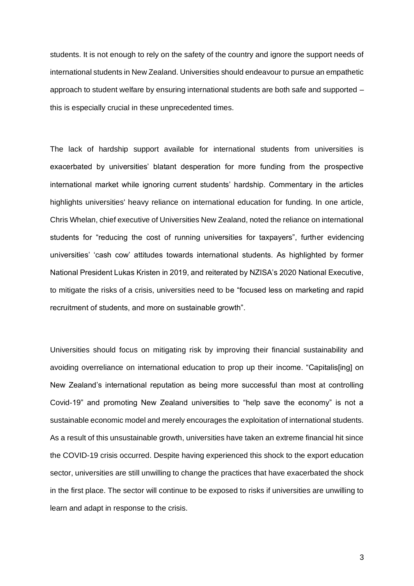students. It is not enough to rely on the safety of the country and ignore the support needs of international students in New Zealand. Universities should endeavour to pursue an empathetic approach to student welfare by ensuring international students are both safe and supported – this is especially crucial in these unprecedented times.

The lack of hardship support available for international students from universities is exacerbated by universities' blatant desperation for more funding from the prospective international market while ignoring current students' hardship. Commentary in the articles highlights universities' heavy reliance on international education for funding. In one article, Chris Whelan, chief executive of Universities New Zealand, noted the reliance on international students for "reducing the cost of running universities for taxpayers", further evidencing universities' 'cash cow' attitudes towards international students. As highlighted by former National President Lukas Kristen in 2019, and reiterated by NZISA's 2020 National Executive, to mitigate the risks of a crisis, universities need to be "focused less on marketing and rapid recruitment of students, and more on sustainable growth".

Universities should focus on mitigating risk by improving their financial sustainability and avoiding overreliance on international education to prop up their income. "Capitalis[ing] on New Zealand's international reputation as being more successful than most at controlling Covid-19" and promoting New Zealand universities to "help save the economy" is not a sustainable economic model and merely encourages the exploitation of international students. As a result of this unsustainable growth, universities have taken an extreme financial hit since the COVID-19 crisis occurred. Despite having experienced this shock to the export education sector, universities are still unwilling to change the practices that have exacerbated the shock in the first place. The sector will continue to be exposed to risks if universities are unwilling to learn and adapt in response to the crisis.

3